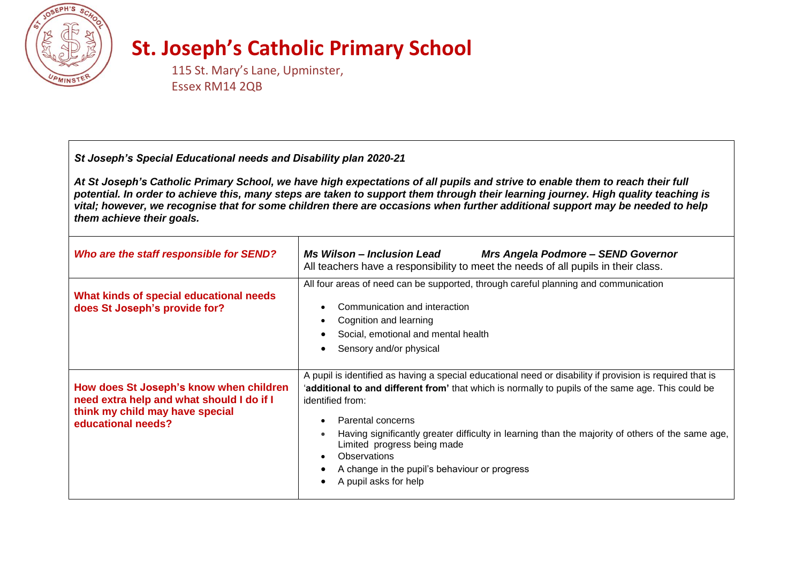

## **St. Joseph's Catholic Primary School**

115 St. Mary's Lane, Upminster, Essex RM14 2QB

## *St Joseph's Special Educational needs and Disability plan 2020-21*

*At St Joseph's Catholic Primary School, we have high expectations of all pupils and strive to enable them to reach their full potential. In order to achieve this, many steps are taken to support them through their learning journey. High quality teaching is vital; however, we recognise that for some children there are occasions when further additional support may be needed to help them achieve their goals.*

| Who are the staff responsible for SEND?                                                                                                       | <b>Ms Wilson - Inclusion Lead</b><br>Mrs Angela Podmore - SEND Governor<br>All teachers have a responsibility to meet the needs of all pupils in their class.                                                                                                                                                                                                                                                                                                                                  |  |
|-----------------------------------------------------------------------------------------------------------------------------------------------|------------------------------------------------------------------------------------------------------------------------------------------------------------------------------------------------------------------------------------------------------------------------------------------------------------------------------------------------------------------------------------------------------------------------------------------------------------------------------------------------|--|
| What kinds of special educational needs<br>does St Joseph's provide for?                                                                      | All four areas of need can be supported, through careful planning and communication<br>Communication and interaction<br>Cognition and learning<br>$\bullet$<br>Social, emotional and mental health<br>Sensory and/or physical                                                                                                                                                                                                                                                                  |  |
| How does St Joseph's know when children<br>need extra help and what should I do if I<br>think my child may have special<br>educational needs? | A pupil is identified as having a special educational need or disability if provision is required that is<br>additional to and different from' that which is normally to pupils of the same age. This could be<br>identified from:<br>Parental concerns<br>٠<br>Having significantly greater difficulty in learning than the majority of others of the same age,<br>٠<br>Limited progress being made<br>Observations<br>A change in the pupil's behaviour or progress<br>A pupil asks for help |  |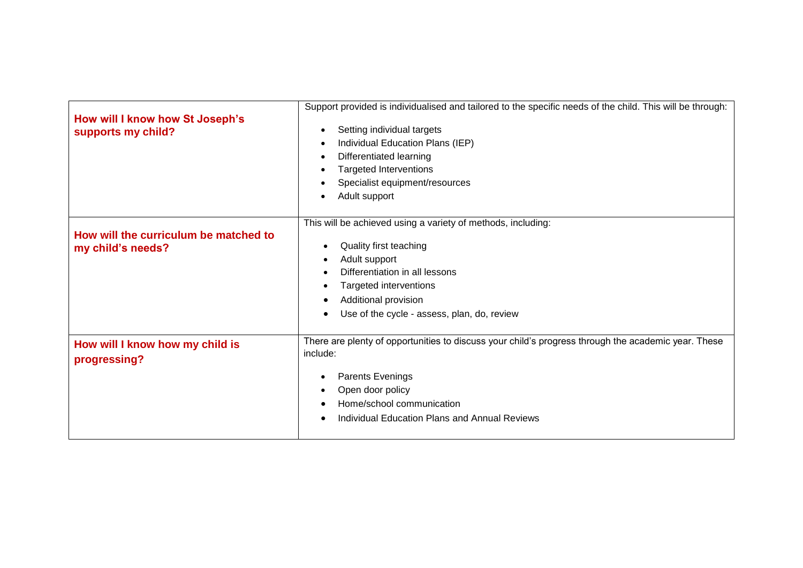| How will I know how St Joseph's<br>supports my child?      | Support provided is individualised and tailored to the specific needs of the child. This will be through:<br>Setting individual targets<br>$\bullet$<br>Individual Education Plans (IEP)<br>$\bullet$<br>Differentiated learning<br>$\bullet$<br><b>Targeted Interventions</b><br>$\bullet$<br>Specialist equipment/resources<br>٠<br>Adult support<br>٠ |
|------------------------------------------------------------|----------------------------------------------------------------------------------------------------------------------------------------------------------------------------------------------------------------------------------------------------------------------------------------------------------------------------------------------------------|
| How will the curriculum be matched to<br>my child's needs? | This will be achieved using a variety of methods, including:<br>Quality first teaching<br>Adult support<br>Differentiation in all lessons<br>Targeted interventions<br>Additional provision<br>Use of the cycle - assess, plan, do, review                                                                                                               |
| How will I know how my child is<br>progressing?            | There are plenty of opportunities to discuss your child's progress through the academic year. These<br>include:<br>Parents Evenings<br>٠<br>Open door policy<br>٠<br>Home/school communication<br><b>Individual Education Plans and Annual Reviews</b><br>$\epsilon$                                                                                     |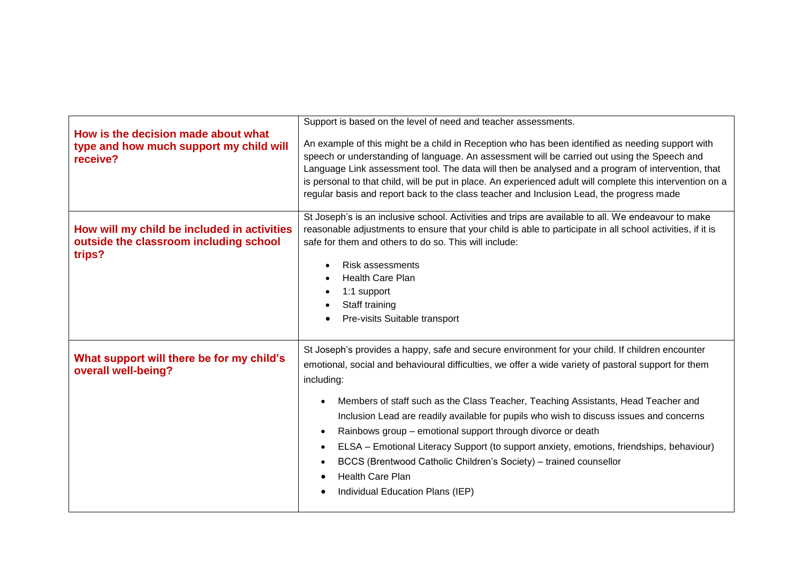| How is the decision made about what<br>type and how much support my child will<br>receive?      | Support is based on the level of need and teacher assessments.<br>An example of this might be a child in Reception who has been identified as needing support with<br>speech or understanding of language. An assessment will be carried out using the Speech and<br>Language Link assessment tool. The data will then be analysed and a program of intervention, that<br>is personal to that child, will be put in place. An experienced adult will complete this intervention on a<br>regular basis and report back to the class teacher and Inclusion Lead, the progress made                                                                                                                                                            |
|-------------------------------------------------------------------------------------------------|---------------------------------------------------------------------------------------------------------------------------------------------------------------------------------------------------------------------------------------------------------------------------------------------------------------------------------------------------------------------------------------------------------------------------------------------------------------------------------------------------------------------------------------------------------------------------------------------------------------------------------------------------------------------------------------------------------------------------------------------|
| How will my child be included in activities<br>outside the classroom including school<br>trips? | St Joseph's is an inclusive school. Activities and trips are available to all. We endeavour to make<br>reasonable adjustments to ensure that your child is able to participate in all school activities, if it is<br>safe for them and others to do so. This will include:<br><b>Risk assessments</b><br>Health Care Plan<br>1:1 support<br>Staff training<br>Pre-visits Suitable transport                                                                                                                                                                                                                                                                                                                                                 |
| What support will there be for my child's<br>overall well-being?                                | St Joseph's provides a happy, safe and secure environment for your child. If children encounter<br>emotional, social and behavioural difficulties, we offer a wide variety of pastoral support for them<br>including:<br>Members of staff such as the Class Teacher, Teaching Assistants, Head Teacher and<br>$\bullet$<br>Inclusion Lead are readily available for pupils who wish to discuss issues and concerns<br>Rainbows group – emotional support through divorce or death<br>$\bullet$<br>ELSA - Emotional Literacy Support (to support anxiety, emotions, friendships, behaviour)<br>$\bullet$<br>BCCS (Brentwood Catholic Children's Society) - trained counsellor<br><b>Health Care Plan</b><br>Individual Education Plans (IEP) |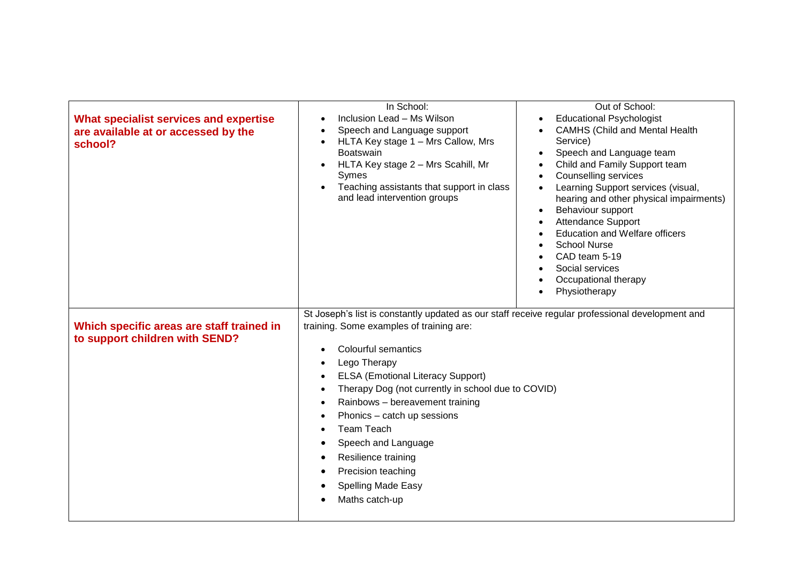| <b>What specialist services and expertise</b><br>are available at or accessed by the<br>school? | In School:<br>Inclusion Lead - Ms Wilson<br>$\bullet$<br>Speech and Language support<br>HLTA Key stage 1 - Mrs Callow, Mrs<br>$\bullet$<br>Boatswain<br>HLTA Key stage 2 - Mrs Scahill, Mr<br>Symes<br>Teaching assistants that support in class<br>and lead intervention groups                                                                                                                                                                                                                                                                                                          | Out of School:<br><b>Educational Psychologist</b><br>$\bullet$<br><b>CAMHS (Child and Mental Health</b><br>Service)<br>Speech and Language team<br>Child and Family Support team<br><b>Counselling services</b><br>$\bullet$<br>Learning Support services (visual,<br>hearing and other physical impairments)<br>Behaviour support<br><b>Attendance Support</b><br><b>Education and Welfare officers</b><br><b>School Nurse</b><br>CAD team 5-19<br>Social services<br>Occupational therapy<br>Physiotherapy |
|-------------------------------------------------------------------------------------------------|-------------------------------------------------------------------------------------------------------------------------------------------------------------------------------------------------------------------------------------------------------------------------------------------------------------------------------------------------------------------------------------------------------------------------------------------------------------------------------------------------------------------------------------------------------------------------------------------|--------------------------------------------------------------------------------------------------------------------------------------------------------------------------------------------------------------------------------------------------------------------------------------------------------------------------------------------------------------------------------------------------------------------------------------------------------------------------------------------------------------|
| Which specific areas are staff trained in<br>to support children with SEND?                     | St Joseph's list is constantly updated as our staff receive regular professional development and<br>training. Some examples of training are:<br><b>Colourful semantics</b><br>$\bullet$<br>Lego Therapy<br>$\bullet$<br><b>ELSA (Emotional Literacy Support)</b><br>Therapy Dog (not currently in school due to COVID)<br>٠<br>Rainbows - bereavement training<br>$\bullet$<br>Phonics - catch up sessions<br>$\bullet$<br><b>Team Teach</b><br>Speech and Language<br>Resilience training<br>$\bullet$<br>Precision teaching<br>$\bullet$<br><b>Spelling Made Easy</b><br>Maths catch-up |                                                                                                                                                                                                                                                                                                                                                                                                                                                                                                              |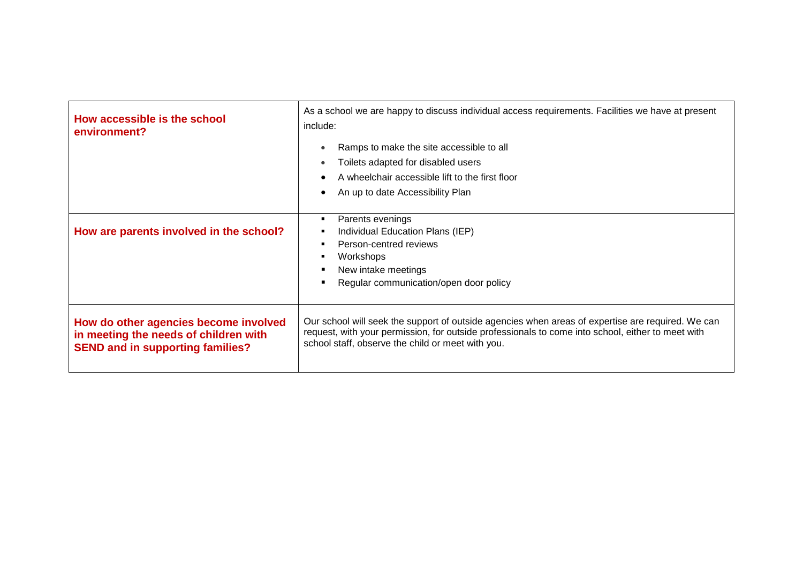| How accessible is the school<br>environment?                                                                              | As a school we are happy to discuss individual access requirements. Facilities we have at present<br>include:<br>Ramps to make the site accessible to all<br>$\bullet$<br>Toilets adapted for disabled users<br>$\bullet$<br>A wheelchair accessible lift to the first floor<br>An up to date Accessibility Plan |
|---------------------------------------------------------------------------------------------------------------------------|------------------------------------------------------------------------------------------------------------------------------------------------------------------------------------------------------------------------------------------------------------------------------------------------------------------|
| How are parents involved in the school?                                                                                   | Parents evenings<br>٠<br>Individual Education Plans (IEP)<br>٠<br>Person-centred reviews<br>п<br>Workshops<br>٠<br>New intake meetings<br>Regular communication/open door policy                                                                                                                                 |
| How do other agencies become involved<br>in meeting the needs of children with<br><b>SEND and in supporting families?</b> | Our school will seek the support of outside agencies when areas of expertise are required. We can<br>request, with your permission, for outside professionals to come into school, either to meet with<br>school staff, observe the child or meet with you.                                                      |